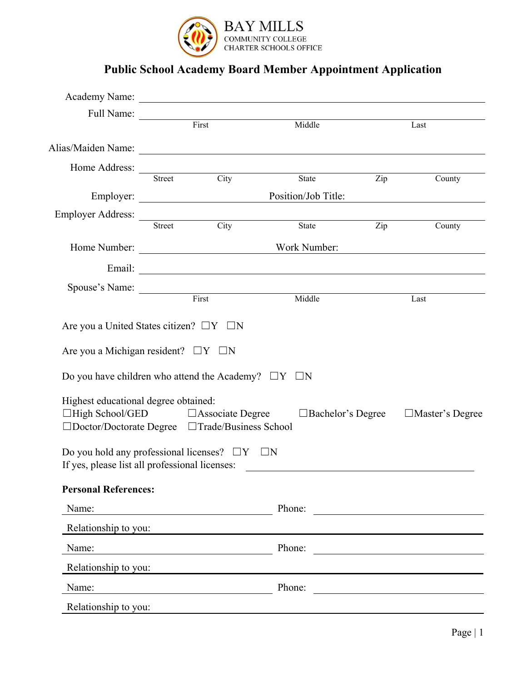

## **Public School Academy Board Member Appointment Application**

| Full Name:                                                                                                                                                                                                                                                                                                                |                                                                            |                                                           |                                                                                                                                                                                                                                |                           |                                                       |
|---------------------------------------------------------------------------------------------------------------------------------------------------------------------------------------------------------------------------------------------------------------------------------------------------------------------------|----------------------------------------------------------------------------|-----------------------------------------------------------|--------------------------------------------------------------------------------------------------------------------------------------------------------------------------------------------------------------------------------|---------------------------|-------------------------------------------------------|
|                                                                                                                                                                                                                                                                                                                           |                                                                            | First                                                     | Middle                                                                                                                                                                                                                         |                           | Last                                                  |
|                                                                                                                                                                                                                                                                                                                           |                                                                            |                                                           |                                                                                                                                                                                                                                |                           |                                                       |
| Home Address:                                                                                                                                                                                                                                                                                                             |                                                                            | Street City                                               | State                                                                                                                                                                                                                          | $\overline{\mathrm{Zip}}$ |                                                       |
|                                                                                                                                                                                                                                                                                                                           |                                                                            |                                                           |                                                                                                                                                                                                                                |                           | County                                                |
|                                                                                                                                                                                                                                                                                                                           | Employer: Position/Job Title:<br>Employer Address: <u>Street</u> City Stat |                                                           |                                                                                                                                                                                                                                |                           |                                                       |
|                                                                                                                                                                                                                                                                                                                           |                                                                            |                                                           | State                                                                                                                                                                                                                          | $\overline{Zip}$          | County                                                |
|                                                                                                                                                                                                                                                                                                                           | Home Number: Work Number:                                                  |                                                           |                                                                                                                                                                                                                                |                           |                                                       |
|                                                                                                                                                                                                                                                                                                                           |                                                                            |                                                           | Email: Natural Communication of the Communication of the Communication of the Communication of the Communication of the Communication of the Communication of the Communication of the Communication of the Communication of t |                           |                                                       |
|                                                                                                                                                                                                                                                                                                                           |                                                                            |                                                           |                                                                                                                                                                                                                                |                           |                                                       |
| Spouse's Name: First                                                                                                                                                                                                                                                                                                      |                                                                            |                                                           | Middle                                                                                                                                                                                                                         |                           | Last                                                  |
| Do you have children who attend the Academy? $\Box Y$ $\Box N$<br>Highest educational degree obtained:<br>$\Box$ High School/GED $\Box$ Associate Degree<br>□Doctor/Doctorate Degree □Trade/Business School<br>Do you hold any professional licenses? $\Box Y$ $\Box N$<br>If yes, please list all professional licenses: |                                                                            |                                                           | $\Box$ Bachelor's Degree                                                                                                                                                                                                       |                           | $\Box$ Master's Degree                                |
| <b>Personal References:</b>                                                                                                                                                                                                                                                                                               |                                                                            |                                                           |                                                                                                                                                                                                                                |                           |                                                       |
| Name:                                                                                                                                                                                                                                                                                                                     |                                                                            |                                                           | Phone:                                                                                                                                                                                                                         |                           |                                                       |
|                                                                                                                                                                                                                                                                                                                           |                                                                            |                                                           | Relationship to you:                                                                                                                                                                                                           |                           |                                                       |
| Name:                                                                                                                                                                                                                                                                                                                     |                                                                            | <u> 1989 - Andrea Stadt, fransk politik (d. 1989)</u>     | Phone:                                                                                                                                                                                                                         |                           | <u> 1980 - Johann Stein, fransk politik (d. 1980)</u> |
| Relationship to you:                                                                                                                                                                                                                                                                                                      |                                                                            |                                                           | <u> 1980 - Johann John Stein, mars an deus Amerikaansk kommunister (</u>                                                                                                                                                       |                           |                                                       |
| Name:                                                                                                                                                                                                                                                                                                                     |                                                                            | <u> 1989 - Johann John Stone, markin sanadi bashkar (</u> |                                                                                                                                                                                                                                |                           | Phone:                                                |
| Relationship to you:                                                                                                                                                                                                                                                                                                      |                                                                            |                                                           |                                                                                                                                                                                                                                |                           |                                                       |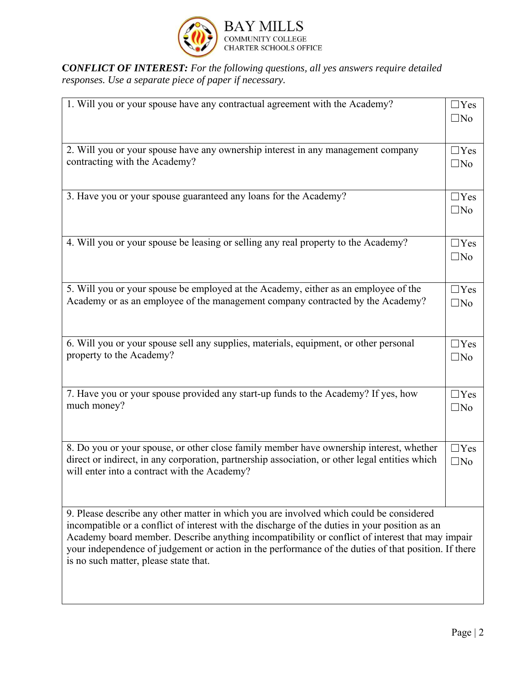

## **C***ONFLICT OF INTEREST: For the following questions, all yes answers require detailed responses. Use a separate piece of paper if necessary.*

| 1. Will you or your spouse have any contractual agreement with the Academy?                                                                                                                                                                                                                                                                                                                                                                   | $\Box$ Yes<br>$\square$ No |
|-----------------------------------------------------------------------------------------------------------------------------------------------------------------------------------------------------------------------------------------------------------------------------------------------------------------------------------------------------------------------------------------------------------------------------------------------|----------------------------|
| 2. Will you or your spouse have any ownership interest in any management company<br>contracting with the Academy?                                                                                                                                                                                                                                                                                                                             | $\Box$ Yes<br>$\square$ No |
| 3. Have you or your spouse guaranteed any loans for the Academy?                                                                                                                                                                                                                                                                                                                                                                              | $\Box$ Yes<br>$\square$ No |
| 4. Will you or your spouse be leasing or selling any real property to the Academy?                                                                                                                                                                                                                                                                                                                                                            | $\Box$ Yes<br>$\square$ No |
| 5. Will you or your spouse be employed at the Academy, either as an employee of the<br>Academy or as an employee of the management company contracted by the Academy?                                                                                                                                                                                                                                                                         | $\Box$ Yes<br>$\square$ No |
| 6. Will you or your spouse sell any supplies, materials, equipment, or other personal<br>property to the Academy?                                                                                                                                                                                                                                                                                                                             | $\Box$ Yes<br>$\Box$ No    |
| 7. Have you or your spouse provided any start-up funds to the Academy? If yes, how<br>much money?                                                                                                                                                                                                                                                                                                                                             | $\Box$ Yes<br>$\square$ No |
| 8. Do you or your spouse, or other close family member have ownership interest, whether<br>direct or indirect, in any corporation, partnership association, or other legal entities which<br>will enter into a contract with the Academy?                                                                                                                                                                                                     | $\Box$ Yes<br>$\square$ No |
| 9. Please describe any other matter in which you are involved which could be considered<br>incompatible or a conflict of interest with the discharge of the duties in your position as an<br>Academy board member. Describe anything incompatibility or conflict of interest that may impair<br>your independence of judgement or action in the performance of the duties of that position. If there<br>is no such matter, please state that. |                            |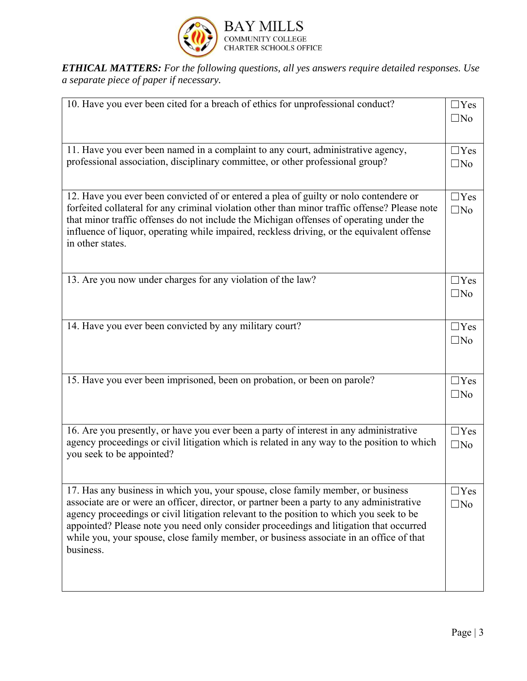

*ETHICAL MATTERS: For the following questions, all yes answers require detailed responses. Use a separate piece of paper if necessary.* 

| 10. Have you ever been cited for a breach of ethics for unprofessional conduct?                                                                                                                                                                                                                                                                                                                                                                                            | $\Box$ Yes<br>$\Box$ No    |
|----------------------------------------------------------------------------------------------------------------------------------------------------------------------------------------------------------------------------------------------------------------------------------------------------------------------------------------------------------------------------------------------------------------------------------------------------------------------------|----------------------------|
| 11. Have you ever been named in a complaint to any court, administrative agency,<br>professional association, disciplinary committee, or other professional group?                                                                                                                                                                                                                                                                                                         | $\Box$ Yes<br>$\square$ No |
| 12. Have you ever been convicted of or entered a plea of guilty or nolo contendere or<br>forfeited collateral for any criminal violation other than minor traffic offense? Please note<br>that minor traffic offenses do not include the Michigan offenses of operating under the<br>influence of liquor, operating while impaired, reckless driving, or the equivalent offense<br>in other states.                                                                        | $\Box$ Yes<br>$\square$ No |
| 13. Are you now under charges for any violation of the law?                                                                                                                                                                                                                                                                                                                                                                                                                | $\Box$ Yes<br>$\Box$ No    |
| 14. Have you ever been convicted by any military court?                                                                                                                                                                                                                                                                                                                                                                                                                    | $\Box$ Yes<br>$\square$ No |
| 15. Have you ever been imprisoned, been on probation, or been on parole?                                                                                                                                                                                                                                                                                                                                                                                                   | $\Box$ Yes<br>$\square$ No |
| 16. Are you presently, or have you ever been a party of interest in any administrative<br>agency proceedings or civil litigation which is related in any way to the position to which<br>you seek to be appointed?                                                                                                                                                                                                                                                         | $\Box$ Yes<br>$\Box$ No    |
| 17. Has any business in which you, your spouse, close family member, or business<br>associate are or were an officer, director, or partner been a party to any administrative<br>agency proceedings or civil litigation relevant to the position to which you seek to be<br>appointed? Please note you need only consider proceedings and litigation that occurred<br>while you, your spouse, close family member, or business associate in an office of that<br>business. | $\Box$ Yes<br>$\square$ No |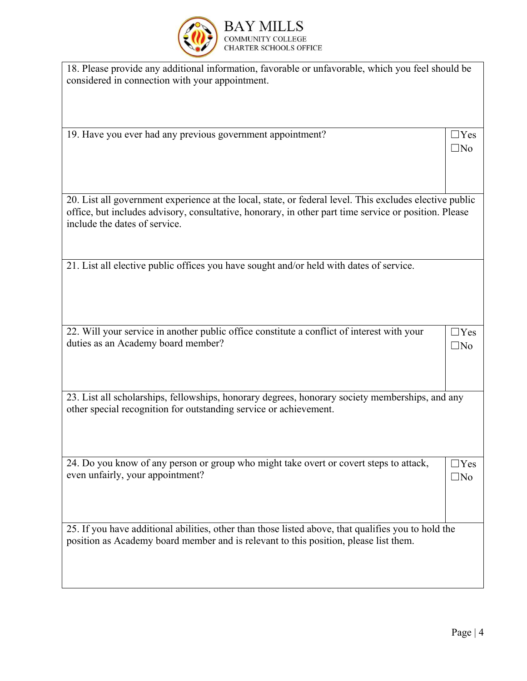

| 18. Please provide any additional information, favorable or unfavorable, which you feel should be<br>considered in connection with your appointment.                                                                                              |                            |
|---------------------------------------------------------------------------------------------------------------------------------------------------------------------------------------------------------------------------------------------------|----------------------------|
| 19. Have you ever had any previous government appointment?                                                                                                                                                                                        | $\Box$ Yes<br>$\square$ No |
| 20. List all government experience at the local, state, or federal level. This excludes elective public<br>office, but includes advisory, consultative, honorary, in other part time service or position. Please<br>include the dates of service. |                            |
| 21. List all elective public offices you have sought and/or held with dates of service.                                                                                                                                                           |                            |
| 22. Will your service in another public office constitute a conflict of interest with your<br>duties as an Academy board member?                                                                                                                  | $\Box$ Yes<br>$\Box$ No    |
| 23. List all scholarships, fellowships, honorary degrees, honorary society memberships, and any<br>other special recognition for outstanding service or achievement.                                                                              |                            |
| 24. Do you know of any person or group who might take overt or covert steps to attack,<br>even unfairly, your appointment?                                                                                                                        | $\Box$ Yes<br>$\square$ No |
| 25. If you have additional abilities, other than those listed above, that qualifies you to hold the<br>position as Academy board member and is relevant to this position, please list them.                                                       |                            |